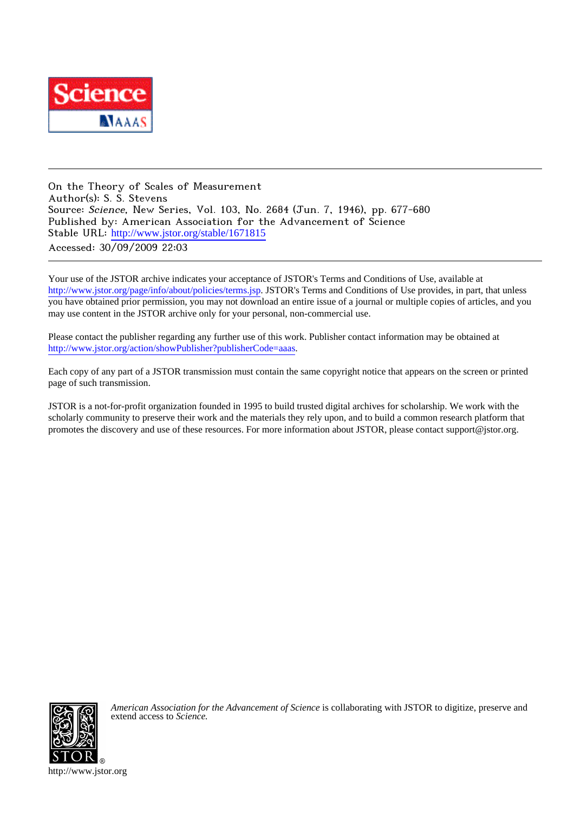

On the Theory of Scales of Measurement Author(s): S. S. Stevens Source: Science, New Series, Vol. 103, No. 2684 (Jun. 7, 1946), pp. 677-680 Published by: American Association for the Advancement of Science Stable URL: [http://www.jstor.org/stable/1671815](http://www.jstor.org/stable/1671815?origin=JSTOR-pdf) Accessed: 30/09/2009 22:03

Your use of the JSTOR archive indicates your acceptance of JSTOR's Terms and Conditions of Use, available at <http://www.jstor.org/page/info/about/policies/terms.jsp>. JSTOR's Terms and Conditions of Use provides, in part, that unless you have obtained prior permission, you may not download an entire issue of a journal or multiple copies of articles, and you may use content in the JSTOR archive only for your personal, non-commercial use.

Please contact the publisher regarding any further use of this work. Publisher contact information may be obtained at <http://www.jstor.org/action/showPublisher?publisherCode=aaas>.

Each copy of any part of a JSTOR transmission must contain the same copyright notice that appears on the screen or printed page of such transmission.

JSTOR is a not-for-profit organization founded in 1995 to build trusted digital archives for scholarship. We work with the scholarly community to preserve their work and the materials they rely upon, and to build a common research platform that promotes the discovery and use of these resources. For more information about JSTOR, please contact support@jstor.org.



*American Association for the Advancement of Science* is collaborating with JSTOR to digitize, preserve and extend access to *Science.*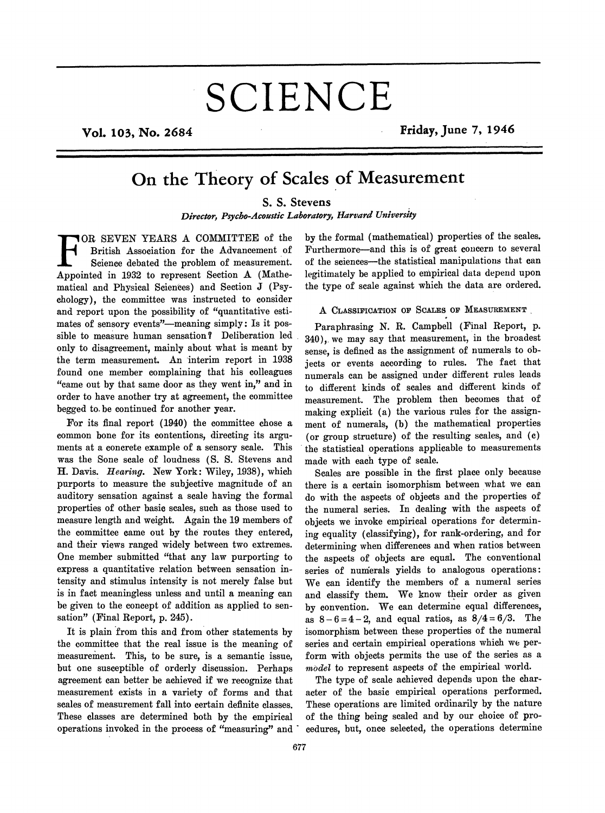# SCIENCE<br>Friday, June 7, 1946

**Vol. 103, No. 2684 Friday, June 7, 1946** 

# **On the Theory of Scales of Measurement**

**S. S. Stevens** 

**Director, Psycho-Acoustic Laboratory, Harvard University** 

**FOR SEVEN YEARS A COMMITTEE of the British Association for the Advancement of Science debated the problem of measurement. Appointed in 1932 to represent Section A (Mathematical and Physical Sciences) and Section J (Psychology), the committee was instructed to consider and report upon the possibility of "quantitative estimates of sensory events"-meaning simply: Is it possible to measure human sensation? Deliberation led only to disagreement, mainly about what is meant by the term measurement. An interim report in 1938 found one member complaining that his colleagues "came out by that same door as they went in," and in order to have another try at agreement, the committee begged to. be continued for another year.** 

**For its final report (1940) the committee chose a common bone for its contentions, directing its arguments at a concrete example of a sensory scale. This was the Sone scale of loudness (S. S. Stevens and H. Davis. Hearing. New York: Wiley, 1938), which purports to measure the subjective magnitude of an auditory sensation against a scale having the formal properties of other basic scales, such as those used to measure length and weight. Again the 19 members of the committee came out by the routes they entered, and their views ranged widely between two extremes. One member submitted "that any law purporting to express a quantitative relation between sensation intensity and stimulus intensity is not merely false but is in fact meaningless unless and until a meaning can be given to the concept of addition as applied to sensation" (Final Report, p. 245).** 

**It is plain from this and from other statements by the committee that the real issue is the meaning of measurement. This, to be sure, is a semantic issue, but one susceptible of orderly discussion. Perhaps agreement can better be achieved if we recognize that measurement exists in a variety of forms and that scales of measurement fall into certain definite classes. These classes are determined both by the empirical operations invoked in the process of "measuring" and**  **by the formal (mathematical) properties of the scales. Furthermore-and this is of great concern to several of the sciences-the statistical manipulations that can legitimately be applied to empirical data depend upon the type of scale against which the data are ordered.** 

# A CLASSIFICATION OF SCALES OF MEASUREMENT

**Paraphrasing N. R. Campbell (Final Report, p. 340),. we may say that measurement, in the broadest**  ense, is defined as the assignment of numerals to obects or events according to rules. The fact that **numerals can be assigned under different rules leads to different kinds of scales and different kinds of measurement. The problem then becomes that of making explicit (a) the various rules for the assignment of numerals, (b) the mathematical properties (or group structure) of the resulting scales, and (c) the statistical operations applicable to measurements made with each type of scale.** 

**Scales are possible in the first place only because there is a certain isomorphism between what we can do with the aspects of objects and the properties of the numeral series. In dealing with the aspects of objects we invoke empirical operations for determining equality (classifying), for rank-ordering, and for determining when differences and when ratios between the aspects of objects are equal. The conventional series of numnerals yields to analogous operations: We can identify the members of a numeral series**  by convention. We can determine equal differences, as  $8-6=4-2$ , and equal ratios, as  $8/4=6/3$ . The **as 8-6=4-2, and equal ratios, as 8/4=6/3. The isomorphism between these properties of the numeral series and certain empirical operations which we perform with objects permits the use of the series as a model to represent aspects of the empirical world.** 

acter of the basic empirical operations performed. acter of the basic empirical operations performed. **These operations are limited ordinarily by the nature of the thing being scaled and by our choice of procedures, but, once selected, the operations determine**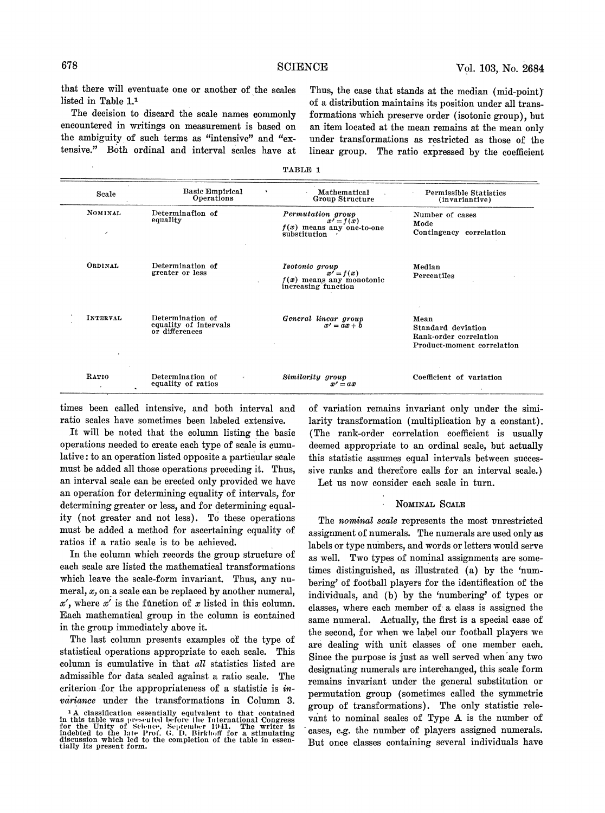**that there will eventuate one or another of the scales listed in Table 1.1** 

**The decision to discard the scale names commonly encountered in writings on measurement is based on the ambiguity of such terms as "intensive" and "extensive." Both ordinal and interval scales have at**  **Thus, the case that stands at the median (mid-point)' of a distribution maintains its position under all transformations which preserve order (isotonic group), but an item located at the mean remains at the mean only under transformations as restricted as those of the linear group. The ratio expressed by the coefficient** 

| TABLE |  |
|-------|--|
|-------|--|

| Scale                | <b>Basic Empirical</b><br>Operations                        | ٠ | Mathematical<br>Group Structure                                                  | <b>Permissible Statistics</b><br>(invariantive)                                    |
|----------------------|-------------------------------------------------------------|---|----------------------------------------------------------------------------------|------------------------------------------------------------------------------------|
| NOMINAL<br>$\lambda$ | Determination of<br>equality                                |   | Permutation group<br>$x'=f(x)$<br>$f(x)$ means any one-to-one<br>substitution    | Number of cases<br>Mode<br>Contingency correlation                                 |
| ORDINAL              | Determination of<br>greater or less                         |   | Isotonic group<br>$x'=f(x)$<br>$f(x)$ means any monotonic<br>increasing function | Median<br>Percentiles                                                              |
| <b>INTERVAL</b>      | Determination of<br>equality of intervals<br>or differences |   | General linear group<br>$x' = ax + b$                                            | Mean<br>Standard deviation<br>Rank-order correlation<br>Product-moment correlation |
| RATIO<br>٠           | Determination of<br>equality of ratios                      |   | Similarity group<br>$x' = ax$                                                    | Coefficient of variation                                                           |

**times been called intensive, and both interval and ratio scales have sometimes been labeled extensive.** 

**It will be noted that the column listing the basic operations needed to create each type of scale is cumulative: to an operation listed opposite a particular scale must be added all those operations preceding it. Thus, an interval scale can be erected only provided we have an operation for determining equality of intervals, for determining greater or less, and for determining equality (not greater and not less). To these operations must be added a method for ascertaining equality of ratios if a ratio scale is to be achieved.** 

**In the column which records the group structure of each scale are listed the mathematical transformations which leave the scale-form invariant. Thus, any numeral, x, on a scale can be replaced by another numeral,**   $x'$ , where  $x'$  is the function of  $x$  listed in this column. **Each mathematical group in the column is contained in the group immediately above it.** 

**The last column presents examples of the type of statistical operations appropriate to each scale. This column is cumulative in that all statistics listed are admissible for data scaled against a ratio scale. The criterion for the appropriateness of a statistic is invariance under the transformations in Column 3.**  **of variation remains invariant only under the similarity transformation (multiplication by a constant). (The rank-order correlation coefficient is usually deemed appropriate to an ordinal scale, but actually this statistic assumes equal intervals between successive ranks and therefore calls for an interval scale.)** 

**Let us now consider each scale in turn.** 

## **NOMINAL SCALE**

The *nominal scale* represents the most vnrestricted **assignment of numerals. The numerals are used only as labels or type numbers, and words or letters would serve as well. Two types of nominal assignments are sometimes distinguished, as illustrated (a) by the 'numbering' of football players for the identification of the individuals, and (b) by the 'numbering' of types or classes, where each member of a class is assigned the same numeral. Actually, the first is a special case of the second, for when we label our football players we are dealing with unit classes of one member each.**  Since the purpose is just as well served when any two **designating numerals are interchanged, this scale form remains invariant under the general substitution or permutation group (sometimes called the symmetric group of transformations). The only statistic relevant to nominal scales of Type A is the number of cases, e.g. the number of players assigned numerals. But once classes containing several individuals have** 

A classification essentially equivalent to that contained<br>in this table was presented before the International Congress<br>or the Unity of Science, September 1941. The writer is<br>decleted to the latte Prof. G. D. Birkhoff for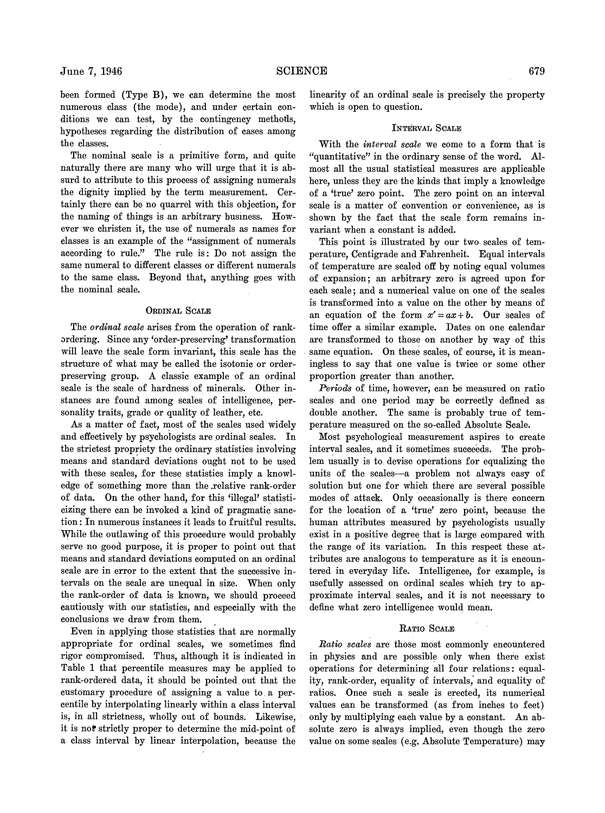**been formed (Type B), we can determine the most numerous class (the mode), and under certain conditions we can test, by the contingency methods, hypotheses regarding the distribution of cases among the classes.** 

**The nominal scale is a primitive form, and quite naturally there are many who will urge that it is absurd to attribute to this process of assigning numerals the dignity implied by the term measurement. Certainly there can be no quarrel with this objection, for the naming of things is an arbitrary business. However we christen it, the use of numerals as names for classes is an example of the "assignment of numerals according to rule." The rule is: Do not assign the same numeral to different classes or different numerals to the same class. Beyond that, anything goes with the nominal scale.** 

### **ORDINAL SCALE**

**The ordinal scale arises from the operation of rankordering. Since any 'order-preserving' transformation will leave the scale form invariant, this scale has the structure of what may be called the isotonic or orderpreserving group. A classic example of an ordinal scale is the scale of hardness of minerals. Other instances are found among scales of intelligence, personality traits, grade or quality of leather, etc.** 

**As a matter of fact, most of the scales used widely and effectively by psychologists are ordinal scales. In the strictest propriety the ordinary statistics involving means and standard deviations ought not to be used**  with these scales, for these statistics imply a knowl**edge of something more than the .relative rank-order of data. On the other hand, for this 'illegal' statisticizing there can be invoked a kind of pragmatic sanction: In numerous instances it leads to fruitful results. While the outlawing of this procedure would probably serve no good purpose, it is proper to point out that means and standard deviations computed on an ordinal scale are in error to the extent that the successive intervals on the scale are unequal in size. When only the rank-order of data is known, we should proceed cautiously with our statistics, and especially with the conclusions we draw from them.** 

**Even in applying those statistics that are normally appropriate for ordinal scales, we sometimes find rigor compromised. Thus, although it is indicated in Table 1 that percentile measures may be applied to rank-ordered data, it should be pointed out that the customary procedure of assigning a value to a percentile by interpolating linearly within a class interval is, in all strictness, wholly out of bounds. Likewise, it is not strictly proper to determine the mid-point of a class interval by linear interpolation, because the**  **linearity of an ordinal scale is precisely the property which is open to question.** 

#### **INTERVAL SCALE**

**With the interval scale we come to a form that is "quantitative" in the ordinary sense of the word. Almost all the usual statistical measures are applicable here, unless they are the kinds that imply a knowledge of a 'true' zero point. The zero point on an interval scale is a matter of convention or convenience, as is shown by the fact that the scale form remains invariant when a constant is added.** 

**This point is illustrated by our two scales of temperature, Centigrade and Fahrenheit. Equal intervals of temperature are scaled off by noting equal volumes of expansion; an arbitrary zero is agreed upon for each scale; and a numerical value on one of the scales is transformed into a value on the other by means of**  an equation of the form  $x' = ax + b$ . Our scales of **time offer a similar example. Dates on one calendar are transformed to those on another by way of this same equation. On these scales, of course, it is meaningless to say that one value is twice or some other proportion greater than another.** 

**Periods of time, however, can be measured on ratio scales and one period may be correctly defined as double another. The same is probably true of temperature measured on the so-called Absolute Scale.** 

**Most psychological measurement aspires to create**  interval scales, and it sometimes succeeds. The prob**lem usually is to devise operations for equalizing the units of the scales-a problem not always easy of solution but one for which there are several possible modes of attack. Only occasionally is there concern for the location of a 'true' zero point, because the human attributes measured by psychologists usually exist in a positive degree that is large compared with the range of its variation. In this respect these attributes are analogous to temperature as it is encountered in everyday life. Intelligence, for example, is usefully assessed on ordinal scales which try to approximate interval scales, and it is not necessary to define what zero intelligence would mean.** 

#### **RATIO SCALE**

**Ratio scales are those most commonly encountered in physics and are possible only when there exist operations for determining all four relations: equality, rank-order, equality of intervals, and equality of ratios. Once such a scale is erected, its numerical values can be transformed (as from inches to feet) only by multiplying each value by a constant. An absolute zero is always implied, even though the zero value on some scales (e.g. Absolute Temperature) may**